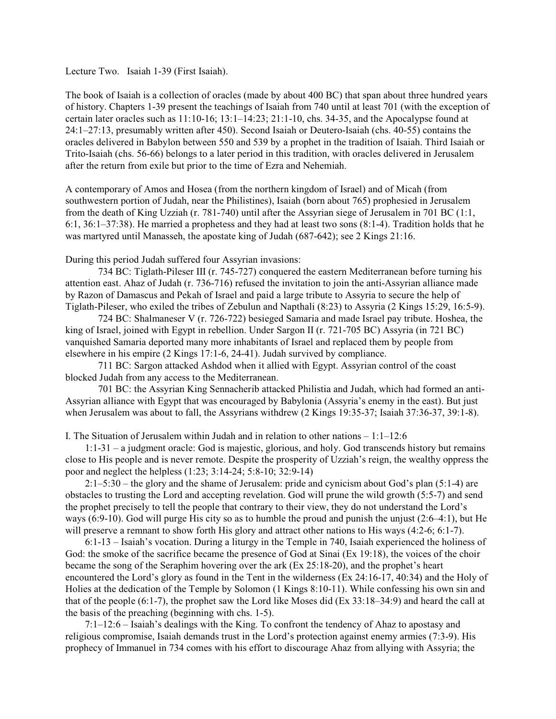Lecture Two. Isaiah 1-39 (First Isaiah).

The book of Isaiah is a collection of oracles (made by about 400 BC) that span about three hundred years of history. Chapters 1-39 present the teachings of Isaiah from 740 until at least 701 (with the exception of certain later oracles such as 11:10-16; 13:1–14:23; 21:1-10, chs. 34-35, and the Apocalypse found at 24:1–27:13, presumably written after 450). Second Isaiah or Deutero-Isaiah (chs. 40-55) contains the oracles delivered in Babylon between 550 and 539 by a prophet in the tradition of Isaiah. Third Isaiah or Trito-Isaiah (chs. 56-66) belongs to a later period in this tradition, with oracles delivered in Jerusalem after the return from exile but prior to the time of Ezra and Nehemiah.

A contemporary of Amos and Hosea (from the northern kingdom of Israel) and of Micah (from southwestern portion of Judah, near the Philistines), Isaiah (born about 765) prophesied in Jerusalem from the death of King Uzziah (r. 781-740) until after the Assyrian siege of Jerusalem in 701 BC (1:1, 6:1, 36:1–37:38). He married a prophetess and they had at least two sons (8:1-4). Tradition holds that he was martyred until Manasseh, the apostate king of Judah (687-642); see 2 Kings 21:16.

During this period Judah suffered four Assyrian invasions:

734 BC: Tiglath-Pileser III (r. 745-727) conquered the eastern Mediterranean before turning his attention east. Ahaz of Judah (r. 736-716) refused the invitation to join the anti-Assyrian alliance made by Razon of Damascus and Pekah of Israel and paid a large tribute to Assyria to secure the help of Tiglath-Pileser, who exiled the tribes of Zebulun and Napthali (8:23) to Assyria (2 Kings 15:29, 16:5-9).

724 BC: Shalmaneser V (r. 726-722) besieged Samaria and made Israel pay tribute. Hoshea, the king of Israel, joined with Egypt in rebellion. Under Sargon II (r. 721-705 BC) Assyria (in 721 BC) vanquished Samaria deported many more inhabitants of Israel and replaced them by people from elsewhere in his empire (2 Kings 17:1-6, 24-41). Judah survived by compliance.

711 BC: Sargon attacked Ashdod when it allied with Egypt. Assyrian control of the coast blocked Judah from any access to the Mediterranean.

701 BC: the Assyrian King Sennacherib attacked Philistia and Judah, which had formed an anti-Assyrian alliance with Egypt that was encouraged by Babylonia (Assyria's enemy in the east). But just when Jerusalem was about to fall, the Assyrians withdrew (2 Kings 19:35-37; Isaiah 37:36-37, 39:1-8).

I. The Situation of Jerusalem within Judah and in relation to other nations  $-1:1-12:6$ 

1:1-31 – a judgment oracle: God is majestic, glorious, and holy. God transcends history but remains close to His people and is never remote. Despite the prosperity of Uzziah's reign, the wealthy oppress the poor and neglect the helpless (1:23; 3:14-24; 5:8-10; 32:9-14)

2:1–5:30 – the glory and the shame of Jerusalem: pride and cynicism about God's plan (5:1-4) are obstacles to trusting the Lord and accepting revelation. God will prune the wild growth (5:5-7) and send the prophet precisely to tell the people that contrary to their view, they do not understand the Lord's ways (6:9-10). God will purge His city so as to humble the proud and punish the unjust (2:6–4:1), but He will preserve a remnant to show forth His glory and attract other nations to His ways (4:2-6; 6:1-7).

6:1-13 – Isaiah's vocation. During a liturgy in the Temple in 740, Isaiah experienced the holiness of God: the smoke of the sacrifice became the presence of God at Sinai (Ex 19:18), the voices of the choir became the song of the Seraphim hovering over the ark (Ex 25:18-20), and the prophet's heart encountered the Lord's glory as found in the Tent in the wilderness (Ex 24:16-17, 40:34) and the Holy of Holies at the dedication of the Temple by Solomon (1 Kings 8:10-11). While confessing his own sin and that of the people (6:1-7), the prophet saw the Lord like Moses did (Ex 33:18–34:9) and heard the call at the basis of the preaching (beginning with chs. 1-5).

7:1–12:6 – Isaiah's dealings with the King. To confront the tendency of Ahaz to apostasy and religious compromise, Isaiah demands trust in the Lord's protection against enemy armies (7:3-9). His prophecy of Immanuel in 734 comes with his effort to discourage Ahaz from allying with Assyria; the